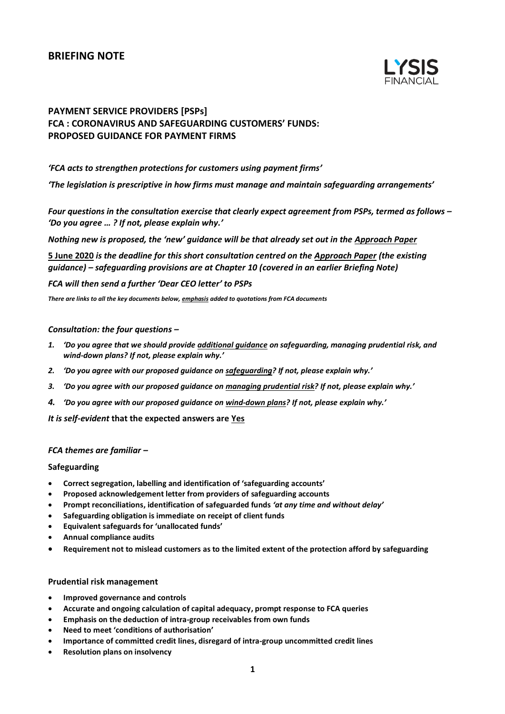# **BRIEFING NOTE**



# **PAYMENT SERVICE PROVIDERS [PSPs] FCA : CORONAVIRUS AND SAFEGUARDING CUSTOMERS' FUNDS: PROPOSED GUIDANCE FOR PAYMENT FIRMS**

## *'FCA acts to strengthen protections for customers using payment firms'*

*'The legislation is prescriptive in how firms must manage and maintain safeguarding arrangements'*

*Four questions in the consultation exercise that clearly expect agreement from PSPs, termed as follows – 'Do you agree … ? If not, please explain why.'*

*Nothing new is proposed, the 'new' guidance will be that already set out in the Approach Paper*

**5 June 2020** *is the deadline for this short consultation centred on the Approach Paper (the existing guidance) – safeguarding provisions are at Chapter 10 (covered in an earlier Briefing Note)* 

### *FCA will then send a further 'Dear CEO letter' to PSPs*

*There are links to all the key documents below, emphasis added to quotations from FCA documents*

#### *Consultation: the four questions –*

- *1. 'Do you agree that we should provide additional guidance on safeguarding, managing prudential risk, and wind-down plans? If not, please explain why.'*
- *2. 'Do you agree with our proposed guidance on safeguarding? If not, please explain why.'*
- *3. 'Do you agree with our proposed guidance on managing prudential risk? If not, please explain why.'*
- *4. 'Do you agree with our proposed guidance on wind-down plans? If not, please explain why.'*

*It is self-evident* **that the expected answers are Yes**

## *FCA themes are familiar –*

#### **Safeguarding**

- **Correct segregation, labelling and identification of 'safeguarding accounts'**
- **Proposed acknowledgement letter from providers of safeguarding accounts**
- **Prompt reconciliations, identification of safeguarded funds** *'at any time and without delay'*
- **Safeguarding obligation is immediate on receipt of client funds**
- **Equivalent safeguards for 'unallocated funds'**
- **Annual compliance audits**
- **Requirement not to mislead customers as to the limited extent of the protection afford by safeguarding**

#### **Prudential risk management**

- **Improved governance and controls**
- **Accurate and ongoing calculation of capital adequacy, prompt response to FCA queries**
- **Emphasis on the deduction of intra-group receivables from own funds**
- **Need to meet 'conditions of authorisation'**
- **Importance of committed credit lines, disregard of intra-group uncommitted credit lines**
- **Resolution plans on insolvency**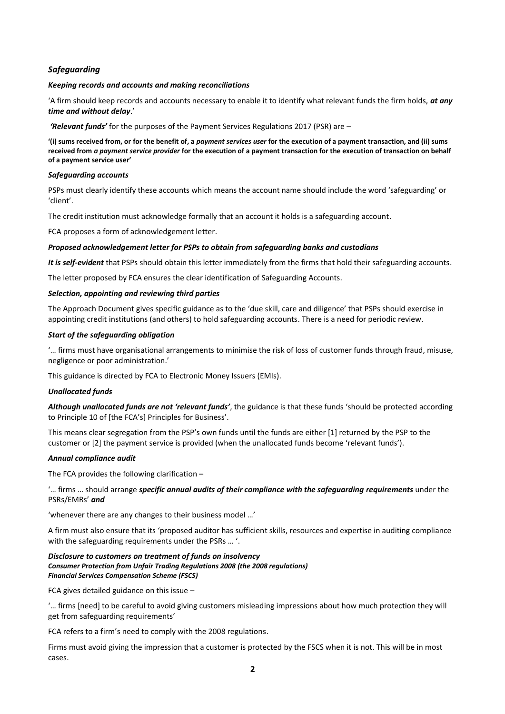# *Safeguarding*

#### *Keeping records and accounts and making reconciliations*

'A firm should keep records and accounts necessary to enable it to identify what relevant funds the firm holds, *at any time and without delay*.'

*'Relevant funds'* for the purposes of the Payment Services Regulations 2017 (PSR) are –

**'(i) sums received from, or for the benefit of, a** *payment services user* **for the execution of a payment transaction, and (ii) sums received from** *a payment service provider* **for the execution of a payment transaction for the execution of transaction on behalf of a payment service user'**

## *Safeguarding accounts*

PSPs must clearly identify these accounts which means the account name should include the word 'safeguarding' or 'client'.

The credit institution must acknowledge formally that an account it holds is a safeguarding account.

FCA proposes a form of acknowledgement letter.

## *Proposed acknowledgement letter for PSPs to obtain from safeguarding banks and custodians*

*It is self-evident* that PSPs should obtain this letter immediately from the firms that hold their safeguarding accounts.

The letter proposed by FCA ensures the clear identification of Safeguarding Accounts.

## *Selection, appointing and reviewing third parties*

The Approach Document gives specific guidance as to the 'due skill, care and diligence' that PSPs should exercise in appointing credit institutions (and others) to hold safeguarding accounts. There is a need for periodic review.

## *Start of the safeguarding obligation*

'… firms must have organisational arrangements to minimise the risk of loss of customer funds through fraud, misuse, negligence or poor administration.'

This guidance is directed by FCA to Electronic Money Issuers (EMIs).

#### *Unallocated funds*

*Although unallocated funds are not 'relevant funds'*, the guidance is that these funds 'should be protected according to Principle 10 of [the FCA's] Principles for Business'.

This means clear segregation from the PSP's own funds until the funds are either [1] returned by the PSP to the customer or [2] the payment service is provided (when the unallocated funds become 'relevant funds').

# *Annual compliance audit*

The FCA provides the following clarification –

'… firms … should arrange *specific annual audits of their compliance with the safeguarding requirements* under the PSRs/EMRs' *and*

'whenever there are any changes to their business model …'

A firm must also ensure that its 'proposed auditor has sufficient skills, resources and expertise in auditing compliance with the safeguarding requirements under the PSRs … '.

#### *Disclosure to customers on treatment of funds on insolvency Consumer Protection from Unfair Trading Regulations 2008 (the 2008 regulations) Financial Services Compensation Scheme (FSCS)*

FCA gives detailed guidance on this issue –

'… firms [need] to be careful to avoid giving customers misleading impressions about how much protection they will get from safeguarding requirements'

FCA refers to a firm's need to comply with the 2008 regulations.

Firms must avoid giving the impression that a customer is protected by the FSCS when it is not. This will be in most cases.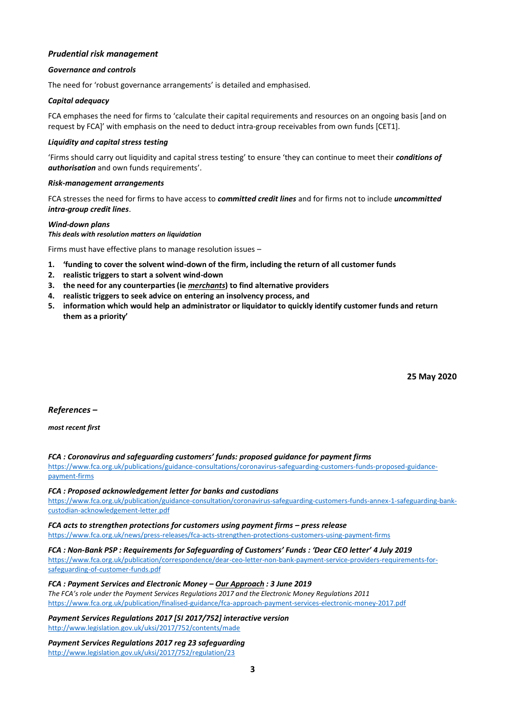# *Prudential risk management*

## *Governance and controls*

The need for 'robust governance arrangements' is detailed and emphasised.

## *Capital adequacy*

FCA emphases the need for firms to 'calculate their capital requirements and resources on an ongoing basis [and on request by FCA]' with emphasis on the need to deduct intra-group receivables from own funds [CET1].

## *Liquidity and capital stress testing*

'Firms should carry out liquidity and capital stress testing' to ensure 'they can continue to meet their *conditions of authorisation* and own funds requirements'.

#### *Risk-management arrangements*

FCA stresses the need for firms to have access to *committed credit lines* and for firms not to include *uncommitted intra-group credit lines*.

## *Wind-down plans*

*This deals with resolution matters on liquidation*

Firms must have effective plans to manage resolution issues –

- **1. 'funding to cover the solvent wind-down of the firm, including the return of all customer funds**
- **2. realistic triggers to start a solvent wind-down**
- **3. the need for any counterparties (ie** *merchants***) to find alternative providers**
- **4. realistic triggers to seek advice on entering an insolvency process, and**
- **5. information which would help an administrator or liquidator to quickly identify customer funds and return them as a priority'**

**25 May 2020**

# *References –*

#### *most recent first*

*FCA : Coronavirus and safeguarding customers' funds: proposed guidance for payment firms*

[https://www.fca.org.uk/publications/guidance-consultations/coronavirus-safeguarding-customers-funds-proposed-guidance](https://www.fca.org.uk/publications/guidance-consultations/coronavirus-safeguarding-customers-funds-proposed-guidance-payment-firms)[payment-firms](https://www.fca.org.uk/publications/guidance-consultations/coronavirus-safeguarding-customers-funds-proposed-guidance-payment-firms)

#### *FCA : Proposed acknowledgement letter for banks and custodians*

[https://www.fca.org.uk/publication/guidance-consultation/coronavirus-safeguarding-customers-funds-annex-1-safeguarding-bank](https://www.fca.org.uk/publication/guidance-consultation/coronavirus-safeguarding-customers-funds-annex-1-safeguarding-bank-custodian-acknowledgement-letter.pdf)[custodian-acknowledgement-letter.pdf](https://www.fca.org.uk/publication/guidance-consultation/coronavirus-safeguarding-customers-funds-annex-1-safeguarding-bank-custodian-acknowledgement-letter.pdf)

*FCA acts to strengthen protections for customers using payment firms – press release* <https://www.fca.org.uk/news/press-releases/fca-acts-strengthen-protections-customers-using-payment-firms>

### *FCA : Non-Bank PSP : Requirements for Safeguarding of Customers' Funds : 'Dear CEO letter' 4 July 2019*

[https://www.fca.org.uk/publication/correspondence/dear-ceo-letter-non-bank-payment-service-providers-requirements-for](https://www.fca.org.uk/publication/correspondence/dear-ceo-letter-non-bank-payment-service-providers-requirements-for-safeguarding-of-customer-funds.pdf)[safeguarding-of-customer-funds.pdf](https://www.fca.org.uk/publication/correspondence/dear-ceo-letter-non-bank-payment-service-providers-requirements-for-safeguarding-of-customer-funds.pdf)

*FCA : Payment Services and Electronic Money – Our Approach : 3 June 2019 The FCA's role under the Payment Services Regulations 2017 and the Electronic Money Regulations 2011*

<https://www.fca.org.uk/publication/finalised-guidance/fca-approach-payment-services-electronic-money-2017.pdf>

*Payment Services Regulations 2017 [SI 2017/752] interactive version* <http://www.legislation.gov.uk/uksi/2017/752/contents/made>

*Payment Services Regulations 2017 reg 23 safeguarding* <http://www.legislation.gov.uk/uksi/2017/752/regulation/23>